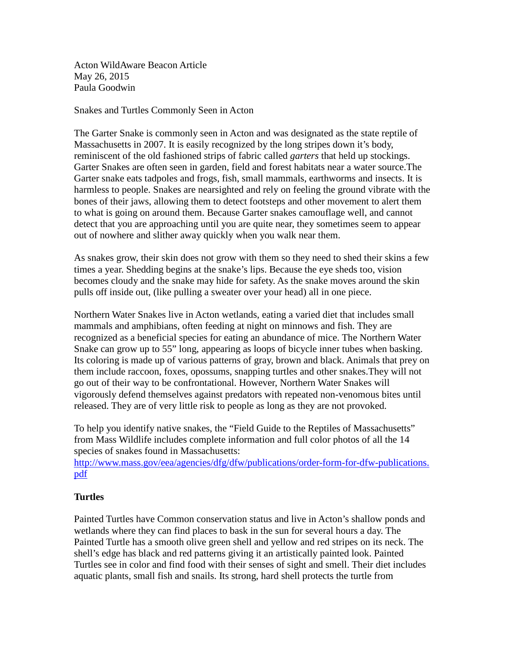Acton WildAware Beacon Article May 26, 2015 Paula Goodwin

Snakes and Turtles Commonly Seen in Acton

The Garter Snake is commonly seen in Acton and was designated as the state reptile of Massachusetts in 2007. It is easily recognized by the long stripes down it's body, reminiscent of the old fashioned strips of fabric called *garters* that held up stockings. Garter Snakes are often seen in garden, field and forest habitats near a water source.The Garter snake eats tadpoles and frogs, fish, small mammals, earthworms and insects. It is harmless to people. Snakes are nearsighted and rely on feeling the ground vibrate with the bones of their jaws, allowing them to detect footsteps and other movement to alert them to what is going on around them. Because Garter snakes camouflage well, and cannot detect that you are approaching until you are quite near, they sometimes seem to appear out of nowhere and slither away quickly when you walk near them.

As snakes grow, their skin does not grow with them so they need to shed their skins a few times a year. Shedding begins at the snake's lips. Because the eye sheds too, vision becomes cloudy and the snake may hide for safety. As the snake moves around the skin pulls off inside out, (like pulling a sweater over your head) all in one piece.

Northern Water Snakes live in Acton wetlands, eating a varied diet that includes small mammals and amphibians, often feeding at night on minnows and fish. They are recognized as a beneficial species for eating an abundance of mice. The Northern Water Snake can grow up to 55" long, appearing as loops of bicycle inner tubes when basking. Its coloring is made up of various patterns of gray, brown and black. Animals that prey on them include raccoon, foxes, opossums, snapping turtles and other snakes.They will not go out of their way to be confrontational. However, Northern Water Snakes will vigorously defend themselves against predators with repeated non-venomous bites until released. They are of very little risk to people as long as they are not provoked.

To help you identify native snakes, the "Field Guide to the Reptiles of Massachusetts" from Mass Wildlife includes complete information and full color photos of all the 14 species of snakes found in Massachusetts:

[http://www.mass.gov/eea/agencies/dfg/dfw/publications/order-form-for-dfw-publications.](http://www.mass.gov/eea/agencies/dfg/dfw/publications/order-form-for-dfw-publications.pdf) [pdf](http://www.mass.gov/eea/agencies/dfg/dfw/publications/order-form-for-dfw-publications.pdf)

## **Turtles**

Painted Turtles have Common conservation status and live in Acton's shallow ponds and wetlands where they can find places to bask in the sun for several hours a day. The Painted Turtle has a smooth olive green shell and yellow and red stripes on its neck. The shell's edge has black and red patterns giving it an artistically painted look. Painted Turtles see in color and find food with their senses of sight and smell. Their diet includes aquatic plants, small fish and snails. Its strong, hard shell protects the turtle from